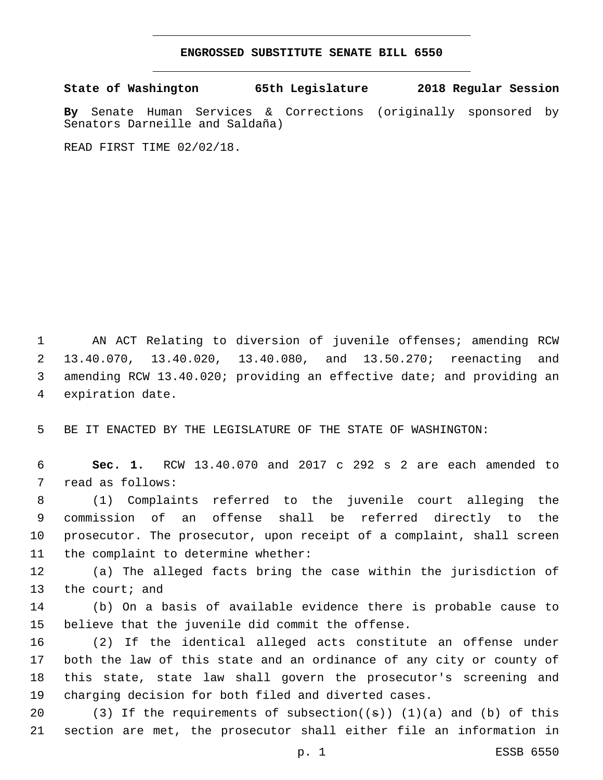## **ENGROSSED SUBSTITUTE SENATE BILL 6550**

**State of Washington 65th Legislature 2018 Regular Session**

**By** Senate Human Services & Corrections (originally sponsored by Senators Darneille and Saldaña)

READ FIRST TIME 02/02/18.

 AN ACT Relating to diversion of juvenile offenses; amending RCW 13.40.070, 13.40.020, 13.40.080, and 13.50.270; reenacting and amending RCW 13.40.020; providing an effective date; and providing an 4 expiration date.

5 BE IT ENACTED BY THE LEGISLATURE OF THE STATE OF WASHINGTON:

6 **Sec. 1.** RCW 13.40.070 and 2017 c 292 s 2 are each amended to 7 read as follows:

 (1) Complaints referred to the juvenile court alleging the commission of an offense shall be referred directly to the prosecutor. The prosecutor, upon receipt of a complaint, shall screen 11 the complaint to determine whether:

12 (a) The alleged facts bring the case within the jurisdiction of 13 the court; and

14 (b) On a basis of available evidence there is probable cause to 15 believe that the juvenile did commit the offense.

 (2) If the identical alleged acts constitute an offense under both the law of this state and an ordinance of any city or county of this state, state law shall govern the prosecutor's screening and charging decision for both filed and diverted cases.

20 (3) If the requirements of subsection( $(\theta)$ ) (1)(a) and (b) of this 21 section are met, the prosecutor shall either file an information in

p. 1 ESSB 6550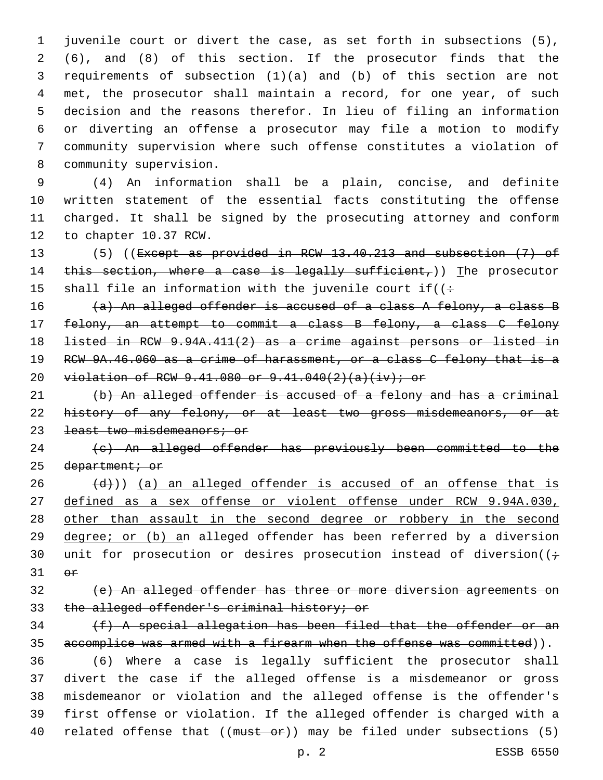juvenile court or divert the case, as set forth in subsections (5), (6), and (8) of this section. If the prosecutor finds that the requirements of subsection (1)(a) and (b) of this section are not met, the prosecutor shall maintain a record, for one year, of such decision and the reasons therefor. In lieu of filing an information or diverting an offense a prosecutor may file a motion to modify community supervision where such offense constitutes a violation of 8 community supervision.

 (4) An information shall be a plain, concise, and definite written statement of the essential facts constituting the offense charged. It shall be signed by the prosecuting attorney and conform 12 to chapter 10.37 RCW.

13 (5) ((Except as provided in RCW 13.40.213 and subsection (7) of 14 this section, where a case is legally sufficient,)) The prosecutor 15 shall file an information with the juvenile court if( $($ :

 $(a)$  An alleged offender is accused of a class A felony, a class B felony, an attempt to commit a class B felony, a class C felony listed in RCW 9.94A.411(2) as a crime against persons or listed in 19 RCW 9A.46.060 as a crime of harassment, or a class C felony that is a violation of RCW 9.41.080 or 9.41.040(2)(a)(iv); or

 (b) An alleged offender is accused of a felony and has a criminal 22 history of any felony, or at least two gross misdemeanors, or at 23 least two misdemeanors; or

 (c) An alleged offender has previously been committed to the 25 department; or

 $(26 \leftarrow \{d\})$ ) (a) an alleged offender is accused of an offense that is defined as a sex offense or violent offense under RCW 9.94A.030, other than assault in the second degree or robbery in the second 29 degree; or (b) an alleged offender has been referred by a diversion 30 unit for prosecution or desires prosecution instead of diversion( $(i \div j)$  $\Theta$  $\mathbf{r}$ 

 (e) An alleged offender has three or more diversion agreements on the alleged offender's criminal history; or

 (f) A special allegation has been filed that the offender or an 35 accomplice was armed with a firearm when the offense was committed)).

 (6) Where a case is legally sufficient the prosecutor shall divert the case if the alleged offense is a misdemeanor or gross misdemeanor or violation and the alleged offense is the offender's first offense or violation. If the alleged offender is charged with a 40 related offense that ((must or)) may be filed under subsections (5)

p. 2 ESSB 6550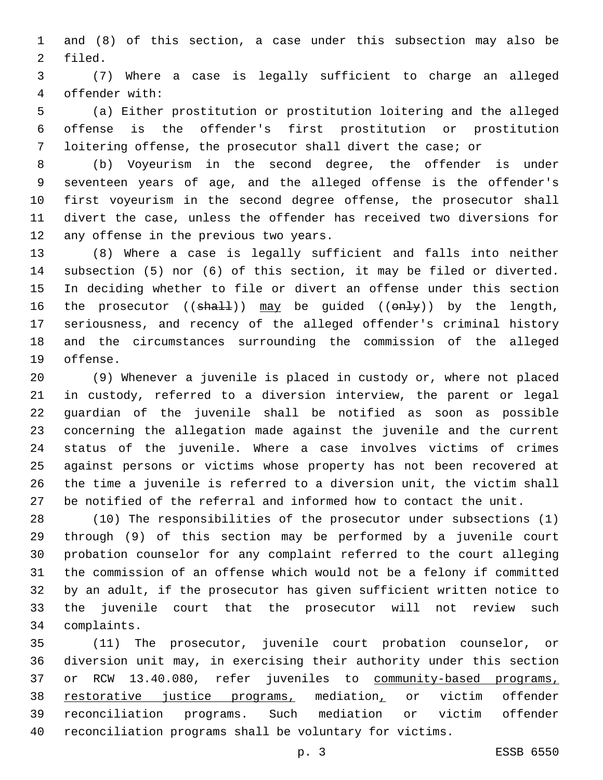and (8) of this section, a case under this subsection may also be 2 filed.

 (7) Where a case is legally sufficient to charge an alleged offender with:4

 (a) Either prostitution or prostitution loitering and the alleged offense is the offender's first prostitution or prostitution loitering offense, the prosecutor shall divert the case; or

 (b) Voyeurism in the second degree, the offender is under seventeen years of age, and the alleged offense is the offender's first voyeurism in the second degree offense, the prosecutor shall divert the case, unless the offender has received two diversions for 12 any offense in the previous two years.

 (8) Where a case is legally sufficient and falls into neither subsection (5) nor (6) of this section, it may be filed or diverted. In deciding whether to file or divert an offense under this section 16 the prosecutor  $((shall))$  may be guided  $((enhy))$  by the length, seriousness, and recency of the alleged offender's criminal history and the circumstances surrounding the commission of the alleged 19 offense.

 (9) Whenever a juvenile is placed in custody or, where not placed in custody, referred to a diversion interview, the parent or legal guardian of the juvenile shall be notified as soon as possible concerning the allegation made against the juvenile and the current status of the juvenile. Where a case involves victims of crimes against persons or victims whose property has not been recovered at the time a juvenile is referred to a diversion unit, the victim shall be notified of the referral and informed how to contact the unit.

 (10) The responsibilities of the prosecutor under subsections (1) through (9) of this section may be performed by a juvenile court probation counselor for any complaint referred to the court alleging the commission of an offense which would not be a felony if committed by an adult, if the prosecutor has given sufficient written notice to the juvenile court that the prosecutor will not review such complaints.34

 (11) The prosecutor, juvenile court probation counselor, or diversion unit may, in exercising their authority under this section 37 or RCW 13.40.080, refer juveniles to community-based programs, restorative justice programs, mediation, or victim offender reconciliation programs. Such mediation or victim offender reconciliation programs shall be voluntary for victims.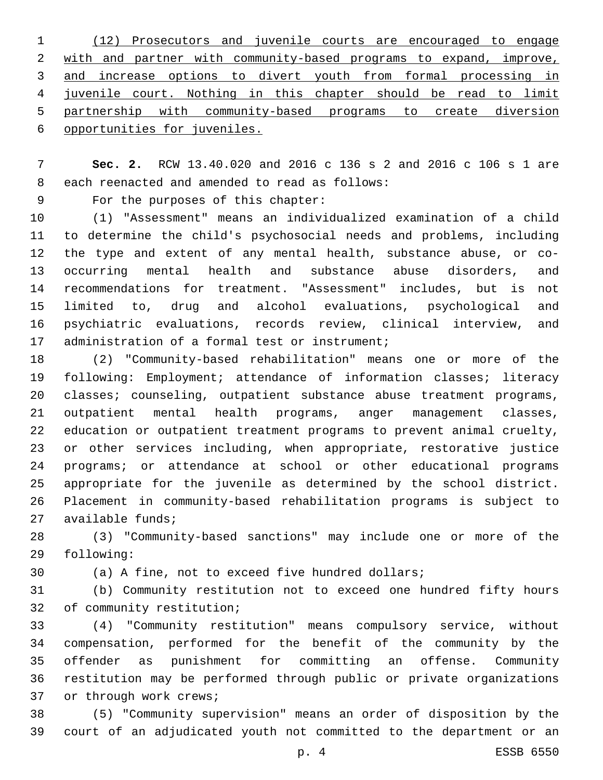(12) Prosecutors and juvenile courts are encouraged to engage with and partner with community-based programs to expand, improve, and increase options to divert youth from formal processing in juvenile court. Nothing in this chapter should be read to limit partnership with community-based programs to create diversion opportunities for juveniles.

 **Sec. 2.** RCW 13.40.020 and 2016 c 136 s 2 and 2016 c 106 s 1 are 8 each reenacted and amended to read as follows:

9 For the purposes of this chapter:

 (1) "Assessment" means an individualized examination of a child to determine the child's psychosocial needs and problems, including the type and extent of any mental health, substance abuse, or co- occurring mental health and substance abuse disorders, and recommendations for treatment. "Assessment" includes, but is not limited to, drug and alcohol evaluations, psychological and psychiatric evaluations, records review, clinical interview, and 17 administration of a formal test or instrument;

 (2) "Community-based rehabilitation" means one or more of the following: Employment; attendance of information classes; literacy classes; counseling, outpatient substance abuse treatment programs, outpatient mental health programs, anger management classes, education or outpatient treatment programs to prevent animal cruelty, or other services including, when appropriate, restorative justice programs; or attendance at school or other educational programs appropriate for the juvenile as determined by the school district. Placement in community-based rehabilitation programs is subject to 27 available funds;

 (3) "Community-based sanctions" may include one or more of the 29 following:

(a) A fine, not to exceed five hundred dollars;

 (b) Community restitution not to exceed one hundred fifty hours 32 of community restitution;

 (4) "Community restitution" means compulsory service, without compensation, performed for the benefit of the community by the offender as punishment for committing an offense. Community restitution may be performed through public or private organizations 37 or through work crews;

 (5) "Community supervision" means an order of disposition by the court of an adjudicated youth not committed to the department or an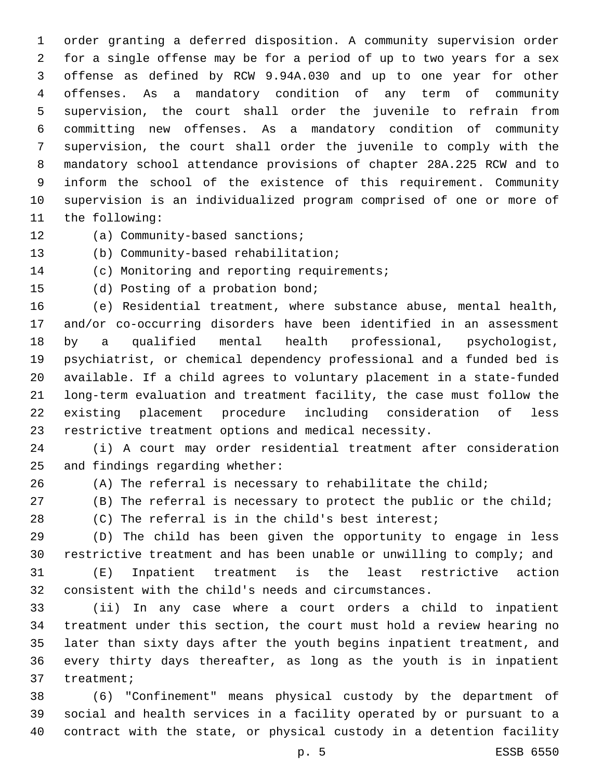order granting a deferred disposition. A community supervision order for a single offense may be for a period of up to two years for a sex offense as defined by RCW 9.94A.030 and up to one year for other offenses. As a mandatory condition of any term of community supervision, the court shall order the juvenile to refrain from committing new offenses. As a mandatory condition of community supervision, the court shall order the juvenile to comply with the mandatory school attendance provisions of chapter 28A.225 RCW and to inform the school of the existence of this requirement. Community supervision is an individualized program comprised of one or more of 11 the following:

12 (a) Community-based sanctions;

13 (b) Community-based rehabilitation;

14 (c) Monitoring and reporting requirements;

15 (d) Posting of a probation bond;

 (e) Residential treatment, where substance abuse, mental health, and/or co-occurring disorders have been identified in an assessment by a qualified mental health professional, psychologist, psychiatrist, or chemical dependency professional and a funded bed is available. If a child agrees to voluntary placement in a state-funded long-term evaluation and treatment facility, the case must follow the existing placement procedure including consideration of less restrictive treatment options and medical necessity.

 (i) A court may order residential treatment after consideration 25 and findings regarding whether:

(A) The referral is necessary to rehabilitate the child;

(B) The referral is necessary to protect the public or the child;

(C) The referral is in the child's best interest;

 (D) The child has been given the opportunity to engage in less restrictive treatment and has been unable or unwilling to comply; and

 (E) Inpatient treatment is the least restrictive action consistent with the child's needs and circumstances.

 (ii) In any case where a court orders a child to inpatient treatment under this section, the court must hold a review hearing no later than sixty days after the youth begins inpatient treatment, and every thirty days thereafter, as long as the youth is in inpatient 37 treatment;

 (6) "Confinement" means physical custody by the department of social and health services in a facility operated by or pursuant to a contract with the state, or physical custody in a detention facility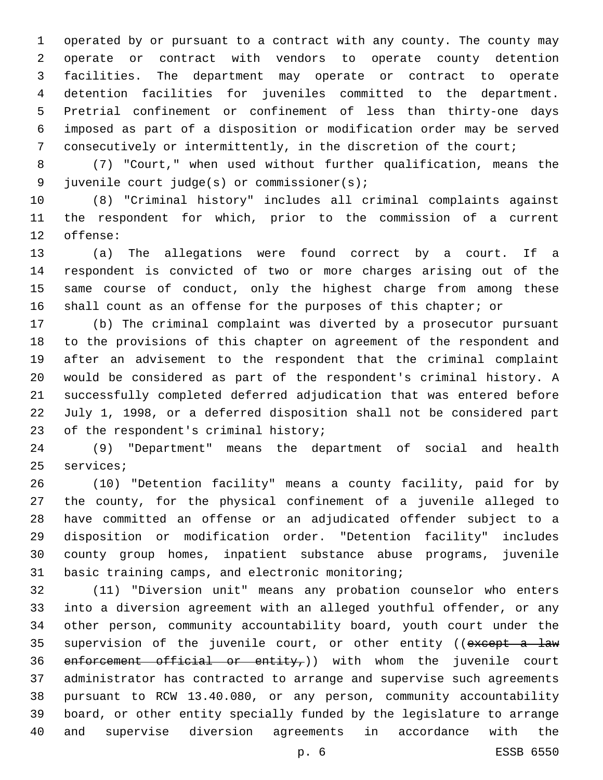operated by or pursuant to a contract with any county. The county may operate or contract with vendors to operate county detention facilities. The department may operate or contract to operate detention facilities for juveniles committed to the department. Pretrial confinement or confinement of less than thirty-one days imposed as part of a disposition or modification order may be served consecutively or intermittently, in the discretion of the court;

 (7) "Court," when used without further qualification, means the juvenile court judge(s) or commissioner(s);9

 (8) "Criminal history" includes all criminal complaints against the respondent for which, prior to the commission of a current 12 offense:

 (a) The allegations were found correct by a court. If a respondent is convicted of two or more charges arising out of the same course of conduct, only the highest charge from among these shall count as an offense for the purposes of this chapter; or

 (b) The criminal complaint was diverted by a prosecutor pursuant to the provisions of this chapter on agreement of the respondent and after an advisement to the respondent that the criminal complaint would be considered as part of the respondent's criminal history. A successfully completed deferred adjudication that was entered before July 1, 1998, or a deferred disposition shall not be considered part 23 of the respondent's criminal history;

 (9) "Department" means the department of social and health 25 services;

 (10) "Detention facility" means a county facility, paid for by the county, for the physical confinement of a juvenile alleged to have committed an offense or an adjudicated offender subject to a disposition or modification order. "Detention facility" includes county group homes, inpatient substance abuse programs, juvenile 31 basic training camps, and electronic monitoring;

 (11) "Diversion unit" means any probation counselor who enters into a diversion agreement with an alleged youthful offender, or any other person, community accountability board, youth court under the 35 supervision of the juvenile court, or other entity ((except a law 36 enforcement official or entity,)) with whom the juvenile court administrator has contracted to arrange and supervise such agreements pursuant to RCW 13.40.080, or any person, community accountability board, or other entity specially funded by the legislature to arrange and supervise diversion agreements in accordance with the

p. 6 ESSB 6550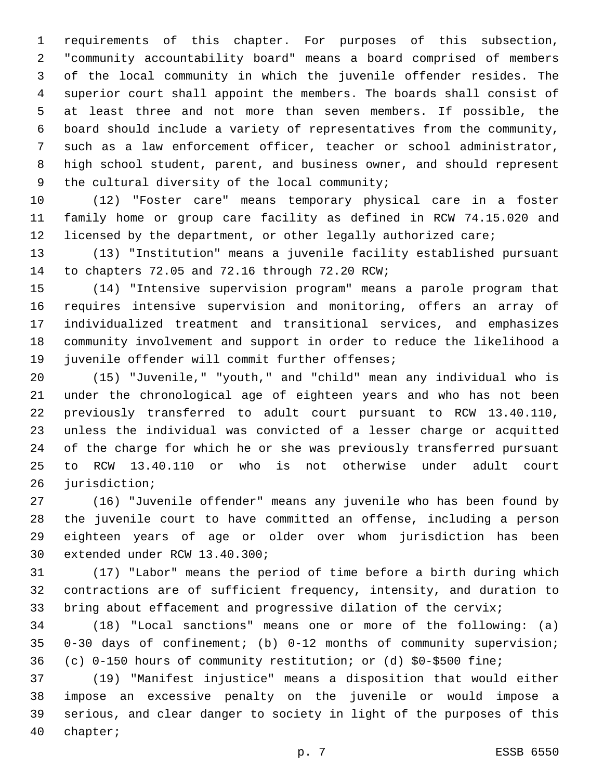requirements of this chapter. For purposes of this subsection, "community accountability board" means a board comprised of members of the local community in which the juvenile offender resides. The superior court shall appoint the members. The boards shall consist of at least three and not more than seven members. If possible, the board should include a variety of representatives from the community, such as a law enforcement officer, teacher or school administrator, high school student, parent, and business owner, and should represent 9 the cultural diversity of the local community;

 (12) "Foster care" means temporary physical care in a foster family home or group care facility as defined in RCW 74.15.020 and licensed by the department, or other legally authorized care;

 (13) "Institution" means a juvenile facility established pursuant 14 to chapters 72.05 and 72.16 through 72.20 RCW;

 (14) "Intensive supervision program" means a parole program that requires intensive supervision and monitoring, offers an array of individualized treatment and transitional services, and emphasizes community involvement and support in order to reduce the likelihood a 19 juvenile offender will commit further offenses;

 (15) "Juvenile," "youth," and "child" mean any individual who is under the chronological age of eighteen years and who has not been previously transferred to adult court pursuant to RCW 13.40.110, unless the individual was convicted of a lesser charge or acquitted of the charge for which he or she was previously transferred pursuant to RCW 13.40.110 or who is not otherwise under adult court 26 jurisdiction;

 (16) "Juvenile offender" means any juvenile who has been found by the juvenile court to have committed an offense, including a person eighteen years of age or older over whom jurisdiction has been 30 extended under RCW 13.40.300;

 (17) "Labor" means the period of time before a birth during which contractions are of sufficient frequency, intensity, and duration to bring about effacement and progressive dilation of the cervix;

 (18) "Local sanctions" means one or more of the following: (a) 0-30 days of confinement; (b) 0-12 months of community supervision; (c) 0-150 hours of community restitution; or (d) \$0-\$500 fine;

 (19) "Manifest injustice" means a disposition that would either impose an excessive penalty on the juvenile or would impose a serious, and clear danger to society in light of the purposes of this 40 chapter;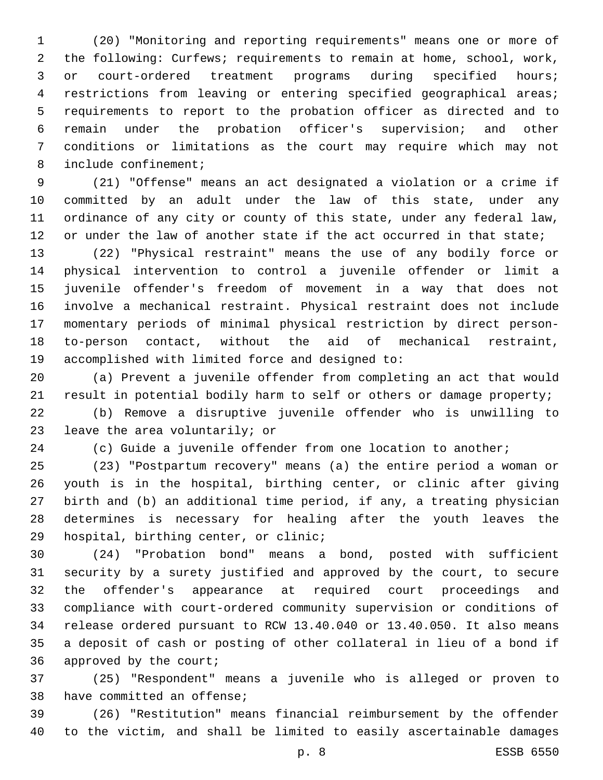(20) "Monitoring and reporting requirements" means one or more of the following: Curfews; requirements to remain at home, school, work, or court-ordered treatment programs during specified hours; restrictions from leaving or entering specified geographical areas; requirements to report to the probation officer as directed and to remain under the probation officer's supervision; and other conditions or limitations as the court may require which may not 8 include confinement;

 (21) "Offense" means an act designated a violation or a crime if committed by an adult under the law of this state, under any ordinance of any city or county of this state, under any federal law, 12 or under the law of another state if the act occurred in that state;

 (22) "Physical restraint" means the use of any bodily force or physical intervention to control a juvenile offender or limit a juvenile offender's freedom of movement in a way that does not involve a mechanical restraint. Physical restraint does not include momentary periods of minimal physical restriction by direct person- to-person contact, without the aid of mechanical restraint, 19 accomplished with limited force and designed to:

 (a) Prevent a juvenile offender from completing an act that would result in potential bodily harm to self or others or damage property;

 (b) Remove a disruptive juvenile offender who is unwilling to 23 leave the area voluntarily; or

(c) Guide a juvenile offender from one location to another;

 (23) "Postpartum recovery" means (a) the entire period a woman or youth is in the hospital, birthing center, or clinic after giving birth and (b) an additional time period, if any, a treating physician determines is necessary for healing after the youth leaves the 29 hospital, birthing center, or clinic;

 (24) "Probation bond" means a bond, posted with sufficient security by a surety justified and approved by the court, to secure the offender's appearance at required court proceedings and compliance with court-ordered community supervision or conditions of release ordered pursuant to RCW 13.40.040 or 13.40.050. It also means a deposit of cash or posting of other collateral in lieu of a bond if 36 approved by the court;

 (25) "Respondent" means a juvenile who is alleged or proven to 38 have committed an offense;

 (26) "Restitution" means financial reimbursement by the offender to the victim, and shall be limited to easily ascertainable damages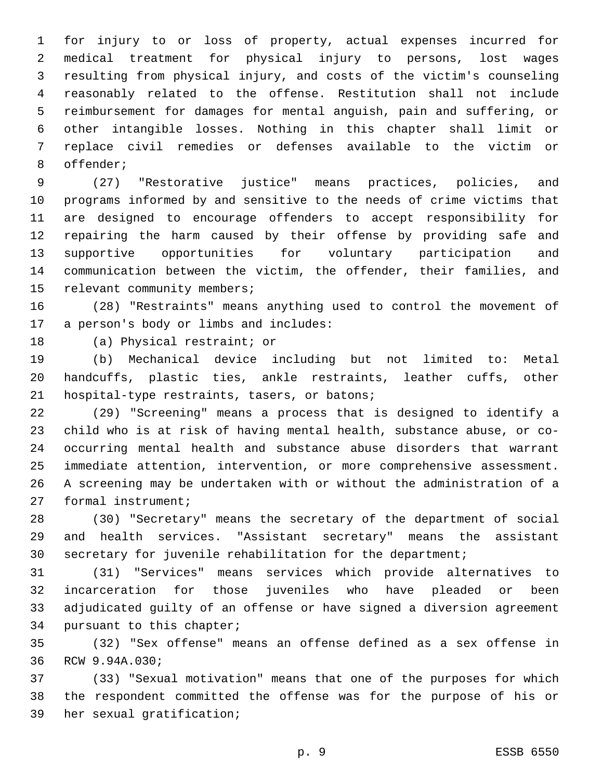for injury to or loss of property, actual expenses incurred for medical treatment for physical injury to persons, lost wages resulting from physical injury, and costs of the victim's counseling reasonably related to the offense. Restitution shall not include reimbursement for damages for mental anguish, pain and suffering, or other intangible losses. Nothing in this chapter shall limit or replace civil remedies or defenses available to the victim or 8 offender;

 (27) "Restorative justice" means practices, policies, and programs informed by and sensitive to the needs of crime victims that are designed to encourage offenders to accept responsibility for repairing the harm caused by their offense by providing safe and supportive opportunities for voluntary participation and communication between the victim, the offender, their families, and 15 relevant community members;

 (28) "Restraints" means anything used to control the movement of 17 a person's body or limbs and includes:

18 (a) Physical restraint; or

 (b) Mechanical device including but not limited to: Metal handcuffs, plastic ties, ankle restraints, leather cuffs, other 21 hospital-type restraints, tasers, or batons;

 (29) "Screening" means a process that is designed to identify a child who is at risk of having mental health, substance abuse, or co- occurring mental health and substance abuse disorders that warrant immediate attention, intervention, or more comprehensive assessment. A screening may be undertaken with or without the administration of a 27 formal instrument;

 (30) "Secretary" means the secretary of the department of social and health services. "Assistant secretary" means the assistant secretary for juvenile rehabilitation for the department;

 (31) "Services" means services which provide alternatives to incarceration for those juveniles who have pleaded or been adjudicated guilty of an offense or have signed a diversion agreement 34 pursuant to this chapter;

 (32) "Sex offense" means an offense defined as a sex offense in 36 RCW 9.94A.030;

 (33) "Sexual motivation" means that one of the purposes for which the respondent committed the offense was for the purpose of his or 39 her sexual gratification;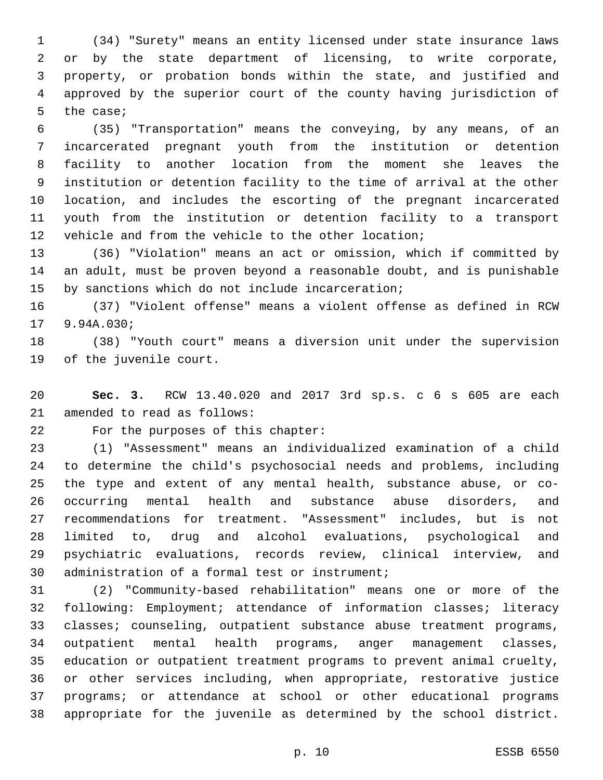(34) "Surety" means an entity licensed under state insurance laws or by the state department of licensing, to write corporate, property, or probation bonds within the state, and justified and approved by the superior court of the county having jurisdiction of 5 the case;

 (35) "Transportation" means the conveying, by any means, of an incarcerated pregnant youth from the institution or detention facility to another location from the moment she leaves the institution or detention facility to the time of arrival at the other location, and includes the escorting of the pregnant incarcerated youth from the institution or detention facility to a transport vehicle and from the vehicle to the other location;

 (36) "Violation" means an act or omission, which if committed by an adult, must be proven beyond a reasonable doubt, and is punishable 15 by sanctions which do not include incarceration;

 (37) "Violent offense" means a violent offense as defined in RCW 17 9.94A.030;

 (38) "Youth court" means a diversion unit under the supervision 19 of the juvenile court.

 **Sec. 3.** RCW 13.40.020 and 2017 3rd sp.s. c 6 s 605 are each 21 amended to read as follows:

22 For the purposes of this chapter:

 (1) "Assessment" means an individualized examination of a child to determine the child's psychosocial needs and problems, including the type and extent of any mental health, substance abuse, or co- occurring mental health and substance abuse disorders, and recommendations for treatment. "Assessment" includes, but is not limited to, drug and alcohol evaluations, psychological and psychiatric evaluations, records review, clinical interview, and 30 administration of a formal test or instrument;

 (2) "Community-based rehabilitation" means one or more of the following: Employment; attendance of information classes; literacy classes; counseling, outpatient substance abuse treatment programs, outpatient mental health programs, anger management classes, education or outpatient treatment programs to prevent animal cruelty, or other services including, when appropriate, restorative justice programs; or attendance at school or other educational programs appropriate for the juvenile as determined by the school district.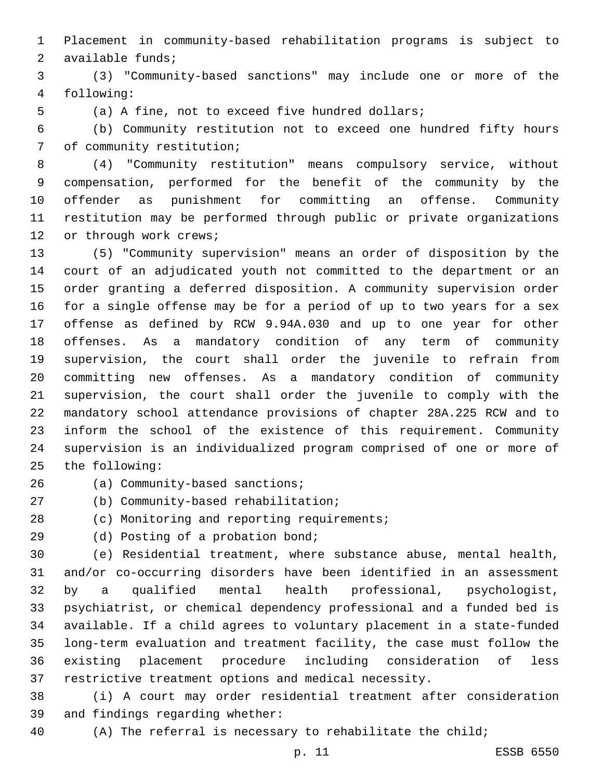Placement in community-based rehabilitation programs is subject to 2 available funds;

 (3) "Community-based sanctions" may include one or more of the following:4

(a) A fine, not to exceed five hundred dollars;

 (b) Community restitution not to exceed one hundred fifty hours 7 of community restitution;

 (4) "Community restitution" means compulsory service, without compensation, performed for the benefit of the community by the offender as punishment for committing an offense. Community restitution may be performed through public or private organizations 12 or through work crews;

 (5) "Community supervision" means an order of disposition by the court of an adjudicated youth not committed to the department or an order granting a deferred disposition. A community supervision order for a single offense may be for a period of up to two years for a sex offense as defined by RCW 9.94A.030 and up to one year for other offenses. As a mandatory condition of any term of community supervision, the court shall order the juvenile to refrain from committing new offenses. As a mandatory condition of community supervision, the court shall order the juvenile to comply with the mandatory school attendance provisions of chapter 28A.225 RCW and to inform the school of the existence of this requirement. Community supervision is an individualized program comprised of one or more of 25 the following:

26 (a) Community-based sanctions;

27 (b) Community-based rehabilitation;

28 (c) Monitoring and reporting requirements;

29 (d) Posting of a probation bond;

 (e) Residential treatment, where substance abuse, mental health, and/or co-occurring disorders have been identified in an assessment by a qualified mental health professional, psychologist, psychiatrist, or chemical dependency professional and a funded bed is available. If a child agrees to voluntary placement in a state-funded long-term evaluation and treatment facility, the case must follow the existing placement procedure including consideration of less restrictive treatment options and medical necessity.

 (i) A court may order residential treatment after consideration 39 and findings regarding whether:

(A) The referral is necessary to rehabilitate the child;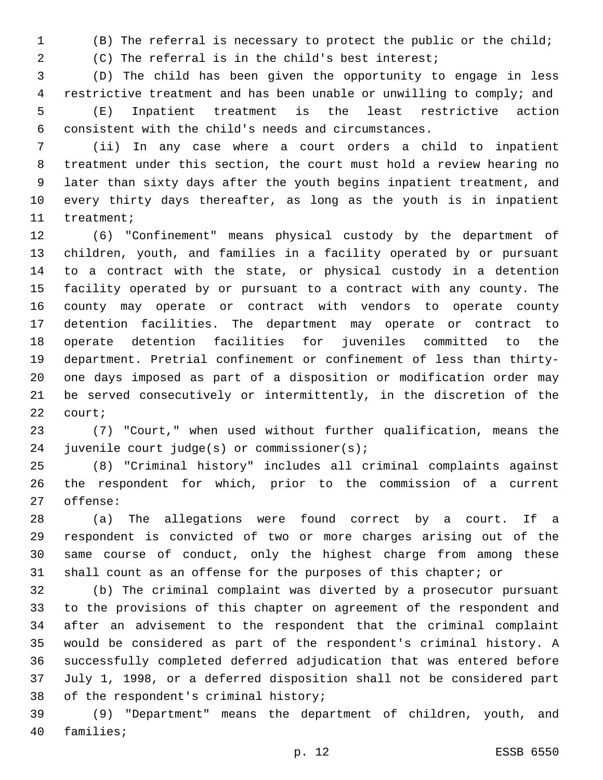(B) The referral is necessary to protect the public or the child;

(C) The referral is in the child's best interest;

 (D) The child has been given the opportunity to engage in less restrictive treatment and has been unable or unwilling to comply; and (E) Inpatient treatment is the least restrictive action consistent with the child's needs and circumstances.

 (ii) In any case where a court orders a child to inpatient treatment under this section, the court must hold a review hearing no later than sixty days after the youth begins inpatient treatment, and every thirty days thereafter, as long as the youth is in inpatient 11 treatment;

 (6) "Confinement" means physical custody by the department of children, youth, and families in a facility operated by or pursuant to a contract with the state, or physical custody in a detention facility operated by or pursuant to a contract with any county. The county may operate or contract with vendors to operate county detention facilities. The department may operate or contract to operate detention facilities for juveniles committed to the department. Pretrial confinement or confinement of less than thirty- one days imposed as part of a disposition or modification order may be served consecutively or intermittently, in the discretion of the 22 court;

 (7) "Court," when used without further qualification, means the 24 juvenile court judge(s) or commissioner(s);

 (8) "Criminal history" includes all criminal complaints against the respondent for which, prior to the commission of a current 27 offense:

 (a) The allegations were found correct by a court. If a respondent is convicted of two or more charges arising out of the same course of conduct, only the highest charge from among these shall count as an offense for the purposes of this chapter; or

 (b) The criminal complaint was diverted by a prosecutor pursuant to the provisions of this chapter on agreement of the respondent and after an advisement to the respondent that the criminal complaint would be considered as part of the respondent's criminal history. A successfully completed deferred adjudication that was entered before July 1, 1998, or a deferred disposition shall not be considered part 38 of the respondent's criminal history;

 (9) "Department" means the department of children, youth, and 40 families;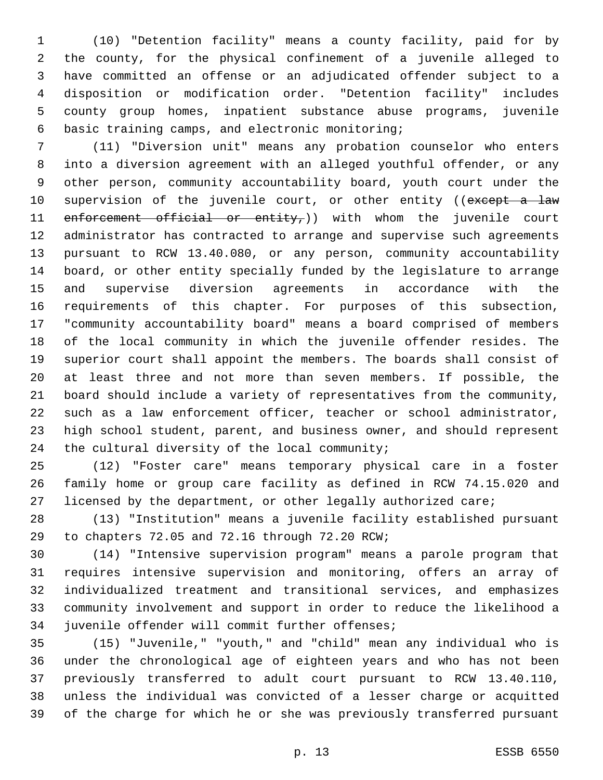(10) "Detention facility" means a county facility, paid for by the county, for the physical confinement of a juvenile alleged to have committed an offense or an adjudicated offender subject to a disposition or modification order. "Detention facility" includes county group homes, inpatient substance abuse programs, juvenile basic training camps, and electronic monitoring;6

 (11) "Diversion unit" means any probation counselor who enters into a diversion agreement with an alleged youthful offender, or any other person, community accountability board, youth court under the 10 supervision of the juvenile court, or other entity ((except a law 11 enforcement official or entity,)) with whom the juvenile court administrator has contracted to arrange and supervise such agreements pursuant to RCW 13.40.080, or any person, community accountability board, or other entity specially funded by the legislature to arrange and supervise diversion agreements in accordance with the requirements of this chapter. For purposes of this subsection, "community accountability board" means a board comprised of members of the local community in which the juvenile offender resides. The superior court shall appoint the members. The boards shall consist of at least three and not more than seven members. If possible, the board should include a variety of representatives from the community, such as a law enforcement officer, teacher or school administrator, high school student, parent, and business owner, and should represent 24 the cultural diversity of the local community;

 (12) "Foster care" means temporary physical care in a foster family home or group care facility as defined in RCW 74.15.020 and licensed by the department, or other legally authorized care;

 (13) "Institution" means a juvenile facility established pursuant 29 to chapters 72.05 and 72.16 through 72.20 RCW;

 (14) "Intensive supervision program" means a parole program that requires intensive supervision and monitoring, offers an array of individualized treatment and transitional services, and emphasizes community involvement and support in order to reduce the likelihood a 34 juvenile offender will commit further offenses;

 (15) "Juvenile," "youth," and "child" mean any individual who is under the chronological age of eighteen years and who has not been previously transferred to adult court pursuant to RCW 13.40.110, unless the individual was convicted of a lesser charge or acquitted of the charge for which he or she was previously transferred pursuant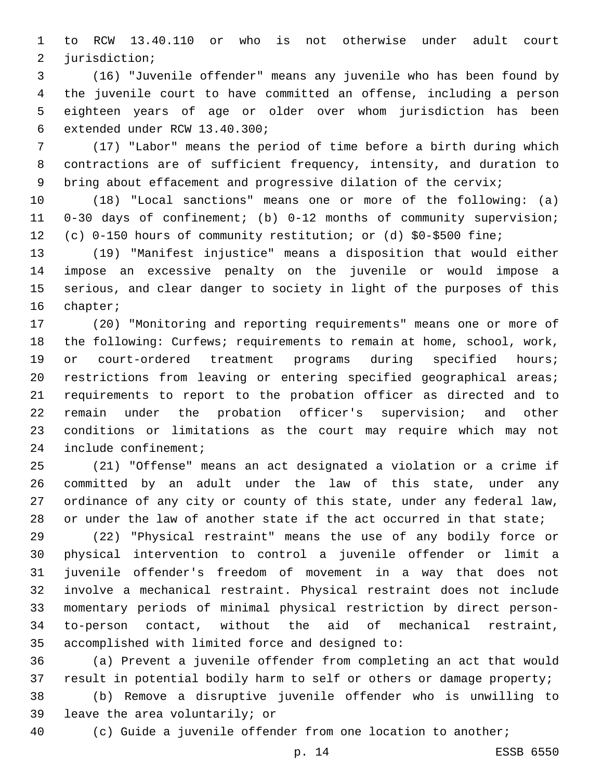to RCW 13.40.110 or who is not otherwise under adult court 2 jurisdiction;

 (16) "Juvenile offender" means any juvenile who has been found by the juvenile court to have committed an offense, including a person eighteen years of age or older over whom jurisdiction has been 6 extended under RCW 13.40.300;

 (17) "Labor" means the period of time before a birth during which contractions are of sufficient frequency, intensity, and duration to 9 bring about effacement and progressive dilation of the cervix;

 (18) "Local sanctions" means one or more of the following: (a) 0-30 days of confinement; (b) 0-12 months of community supervision; (c) 0-150 hours of community restitution; or (d) \$0-\$500 fine;

 (19) "Manifest injustice" means a disposition that would either impose an excessive penalty on the juvenile or would impose a serious, and clear danger to society in light of the purposes of this 16 chapter;

 (20) "Monitoring and reporting requirements" means one or more of the following: Curfews; requirements to remain at home, school, work, 19 or court-ordered treatment programs during specified hours; restrictions from leaving or entering specified geographical areas; requirements to report to the probation officer as directed and to remain under the probation officer's supervision; and other conditions or limitations as the court may require which may not 24 include confinement;

 (21) "Offense" means an act designated a violation or a crime if committed by an adult under the law of this state, under any ordinance of any city or county of this state, under any federal law, or under the law of another state if the act occurred in that state;

 (22) "Physical restraint" means the use of any bodily force or physical intervention to control a juvenile offender or limit a juvenile offender's freedom of movement in a way that does not involve a mechanical restraint. Physical restraint does not include momentary periods of minimal physical restriction by direct person- to-person contact, without the aid of mechanical restraint, 35 accomplished with limited force and designed to:

 (a) Prevent a juvenile offender from completing an act that would 37 result in potential bodily harm to self or others or damage property;

 (b) Remove a disruptive juvenile offender who is unwilling to 39 leave the area voluntarily; or

(c) Guide a juvenile offender from one location to another;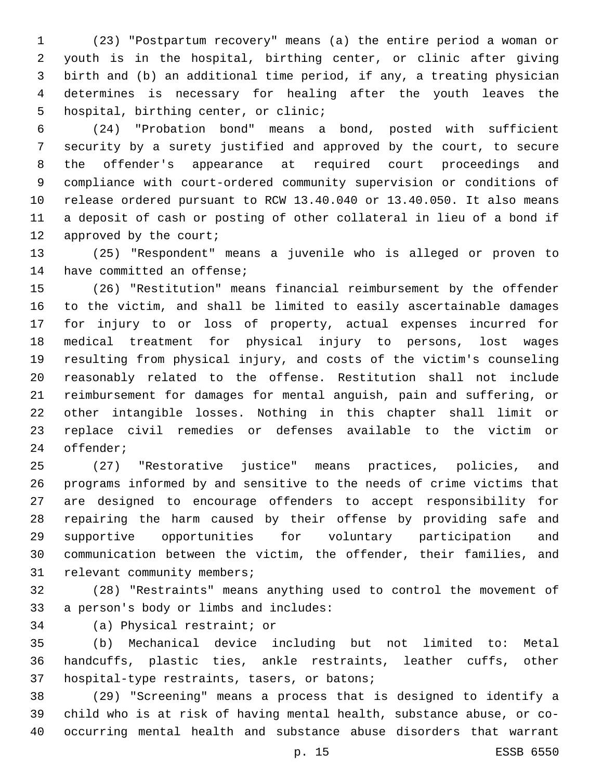(23) "Postpartum recovery" means (a) the entire period a woman or youth is in the hospital, birthing center, or clinic after giving birth and (b) an additional time period, if any, a treating physician determines is necessary for healing after the youth leaves the 5 hospital, birthing center, or clinic;

 (24) "Probation bond" means a bond, posted with sufficient security by a surety justified and approved by the court, to secure the offender's appearance at required court proceedings and compliance with court-ordered community supervision or conditions of release ordered pursuant to RCW 13.40.040 or 13.40.050. It also means a deposit of cash or posting of other collateral in lieu of a bond if 12 approved by the court;

 (25) "Respondent" means a juvenile who is alleged or proven to 14 have committed an offense;

 (26) "Restitution" means financial reimbursement by the offender to the victim, and shall be limited to easily ascertainable damages for injury to or loss of property, actual expenses incurred for medical treatment for physical injury to persons, lost wages resulting from physical injury, and costs of the victim's counseling reasonably related to the offense. Restitution shall not include reimbursement for damages for mental anguish, pain and suffering, or other intangible losses. Nothing in this chapter shall limit or replace civil remedies or defenses available to the victim or 24 offender;

 (27) "Restorative justice" means practices, policies, and programs informed by and sensitive to the needs of crime victims that are designed to encourage offenders to accept responsibility for repairing the harm caused by their offense by providing safe and supportive opportunities for voluntary participation and communication between the victim, the offender, their families, and 31 relevant community members;

 (28) "Restraints" means anything used to control the movement of 33 a person's body or limbs and includes:

34 (a) Physical restraint; or

 (b) Mechanical device including but not limited to: Metal handcuffs, plastic ties, ankle restraints, leather cuffs, other 37 hospital-type restraints, tasers, or batons;

 (29) "Screening" means a process that is designed to identify a child who is at risk of having mental health, substance abuse, or co-occurring mental health and substance abuse disorders that warrant

p. 15 ESSB 6550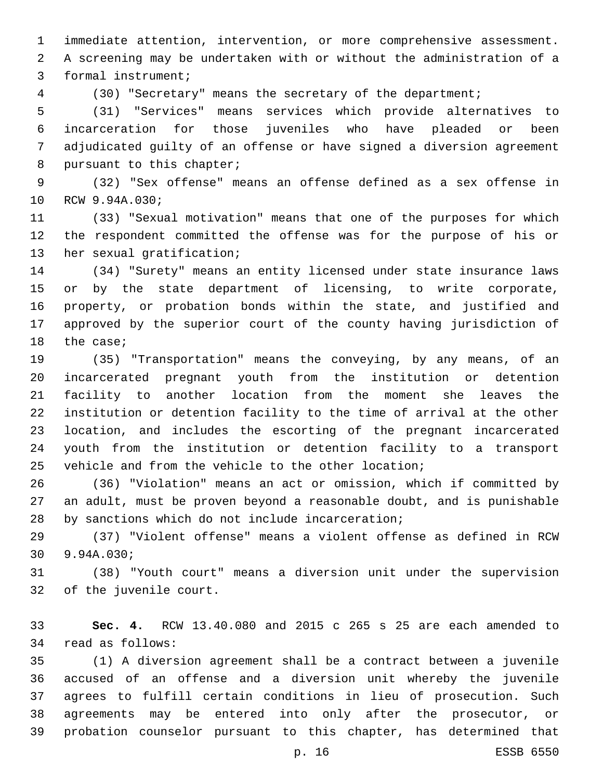immediate attention, intervention, or more comprehensive assessment. A screening may be undertaken with or without the administration of a 3 formal instrument;

(30) "Secretary" means the secretary of the department;

 (31) "Services" means services which provide alternatives to incarceration for those juveniles who have pleaded or been adjudicated guilty of an offense or have signed a diversion agreement 8 pursuant to this chapter;

 (32) "Sex offense" means an offense defined as a sex offense in 10 RCW 9.94A.030;

 (33) "Sexual motivation" means that one of the purposes for which the respondent committed the offense was for the purpose of his or 13 her sexual gratification;

 (34) "Surety" means an entity licensed under state insurance laws or by the state department of licensing, to write corporate, property, or probation bonds within the state, and justified and approved by the superior court of the county having jurisdiction of 18 the case;

 (35) "Transportation" means the conveying, by any means, of an incarcerated pregnant youth from the institution or detention facility to another location from the moment she leaves the institution or detention facility to the time of arrival at the other location, and includes the escorting of the pregnant incarcerated youth from the institution or detention facility to a transport vehicle and from the vehicle to the other location;

 (36) "Violation" means an act or omission, which if committed by an adult, must be proven beyond a reasonable doubt, and is punishable 28 by sanctions which do not include incarceration;

 (37) "Violent offense" means a violent offense as defined in RCW 9.94A.030;30

 (38) "Youth court" means a diversion unit under the supervision 32 of the juvenile court.

 **Sec. 4.** RCW 13.40.080 and 2015 c 265 s 25 are each amended to 34 read as follows:

 (1) A diversion agreement shall be a contract between a juvenile accused of an offense and a diversion unit whereby the juvenile agrees to fulfill certain conditions in lieu of prosecution. Such agreements may be entered into only after the prosecutor, or probation counselor pursuant to this chapter, has determined that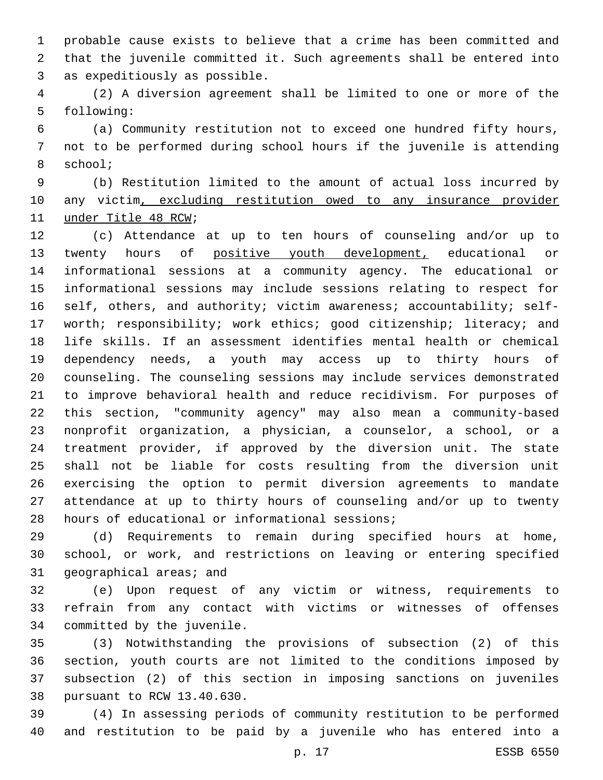probable cause exists to believe that a crime has been committed and that the juvenile committed it. Such agreements shall be entered into 3 as expeditiously as possible.

 (2) A diversion agreement shall be limited to one or more of the 5 following:

 (a) Community restitution not to exceed one hundred fifty hours, not to be performed during school hours if the juvenile is attending 8 school;

 (b) Restitution limited to the amount of actual loss incurred by any victim, excluding restitution owed to any insurance provider 11 under Title 48 RCW;

 (c) Attendance at up to ten hours of counseling and/or up to 13 twenty hours of positive youth development, educational or informational sessions at a community agency. The educational or informational sessions may include sessions relating to respect for self, others, and authority; victim awareness; accountability; self-17 worth; responsibility; work ethics; good citizenship; literacy; and life skills. If an assessment identifies mental health or chemical dependency needs, a youth may access up to thirty hours of counseling. The counseling sessions may include services demonstrated to improve behavioral health and reduce recidivism. For purposes of this section, "community agency" may also mean a community-based nonprofit organization, a physician, a counselor, a school, or a treatment provider, if approved by the diversion unit. The state shall not be liable for costs resulting from the diversion unit exercising the option to permit diversion agreements to mandate attendance at up to thirty hours of counseling and/or up to twenty 28 hours of educational or informational sessions;

 (d) Requirements to remain during specified hours at home, school, or work, and restrictions on leaving or entering specified 31 geographical areas; and

 (e) Upon request of any victim or witness, requirements to refrain from any contact with victims or witnesses of offenses 34 committed by the juvenile.

 (3) Notwithstanding the provisions of subsection (2) of this section, youth courts are not limited to the conditions imposed by subsection (2) of this section in imposing sanctions on juveniles 38 pursuant to RCW 13.40.630.

 (4) In assessing periods of community restitution to be performed and restitution to be paid by a juvenile who has entered into a

p. 17 ESSB 6550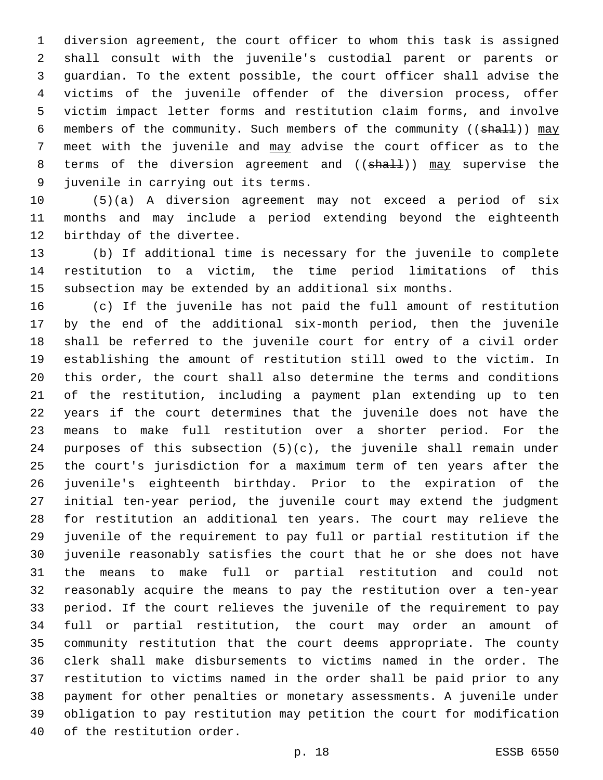diversion agreement, the court officer to whom this task is assigned shall consult with the juvenile's custodial parent or parents or guardian. To the extent possible, the court officer shall advise the victims of the juvenile offender of the diversion process, offer victim impact letter forms and restitution claim forms, and involve 6 members of the community. Such members of the community ((shall)) may meet with the juvenile and may advise the court officer as to the 8 terms of the diversion agreement and ((shall)) may supervise the 9 juvenile in carrying out its terms.

 (5)(a) A diversion agreement may not exceed a period of six months and may include a period extending beyond the eighteenth 12 birthday of the divertee.

 (b) If additional time is necessary for the juvenile to complete restitution to a victim, the time period limitations of this subsection may be extended by an additional six months.

 (c) If the juvenile has not paid the full amount of restitution by the end of the additional six-month period, then the juvenile shall be referred to the juvenile court for entry of a civil order establishing the amount of restitution still owed to the victim. In this order, the court shall also determine the terms and conditions of the restitution, including a payment plan extending up to ten years if the court determines that the juvenile does not have the means to make full restitution over a shorter period. For the purposes of this subsection (5)(c), the juvenile shall remain under the court's jurisdiction for a maximum term of ten years after the juvenile's eighteenth birthday. Prior to the expiration of the initial ten-year period, the juvenile court may extend the judgment for restitution an additional ten years. The court may relieve the juvenile of the requirement to pay full or partial restitution if the juvenile reasonably satisfies the court that he or she does not have the means to make full or partial restitution and could not reasonably acquire the means to pay the restitution over a ten-year period. If the court relieves the juvenile of the requirement to pay full or partial restitution, the court may order an amount of community restitution that the court deems appropriate. The county clerk shall make disbursements to victims named in the order. The restitution to victims named in the order shall be paid prior to any payment for other penalties or monetary assessments. A juvenile under obligation to pay restitution may petition the court for modification 40 of the restitution order.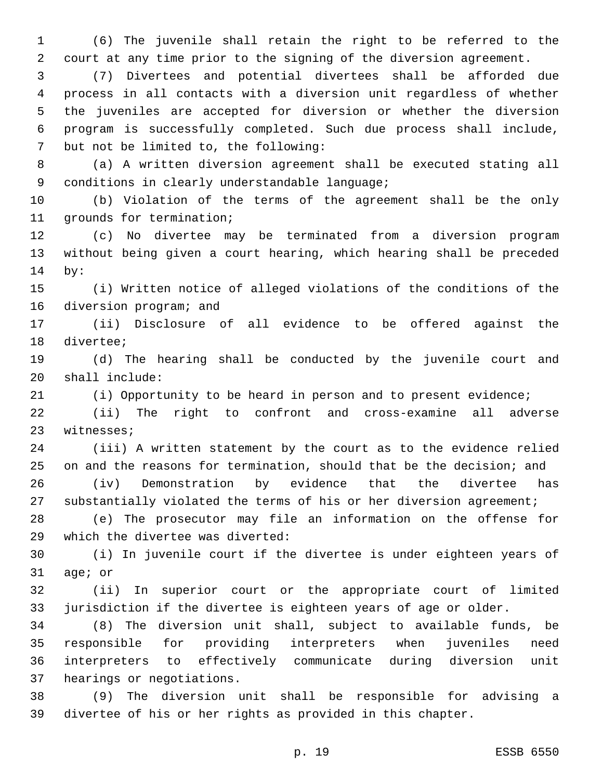(6) The juvenile shall retain the right to be referred to the court at any time prior to the signing of the diversion agreement.

 (7) Divertees and potential divertees shall be afforded due process in all contacts with a diversion unit regardless of whether the juveniles are accepted for diversion or whether the diversion program is successfully completed. Such due process shall include, 7 but not be limited to, the following:

 (a) A written diversion agreement shall be executed stating all 9 conditions in clearly understandable language;

 (b) Violation of the terms of the agreement shall be the only 11 grounds for termination;

 (c) No divertee may be terminated from a diversion program without being given a court hearing, which hearing shall be preceded 14 by:

 (i) Written notice of alleged violations of the conditions of the 16 diversion program; and

 (ii) Disclosure of all evidence to be offered against the 18 divertee;

 (d) The hearing shall be conducted by the juvenile court and shall include:20

(i) Opportunity to be heard in person and to present evidence;

 (ii) The right to confront and cross-examine all adverse 23 witnesses;

 (iii) A written statement by the court as to the evidence relied on and the reasons for termination, should that be the decision; and (iv) Demonstration by evidence that the divertee has

substantially violated the terms of his or her diversion agreement;

 (e) The prosecutor may file an information on the offense for 29 which the divertee was diverted:

 (i) In juvenile court if the divertee is under eighteen years of 31 age; or

 (ii) In superior court or the appropriate court of limited jurisdiction if the divertee is eighteen years of age or older.

 (8) The diversion unit shall, subject to available funds, be responsible for providing interpreters when juveniles need interpreters to effectively communicate during diversion unit 37 hearings or negotiations.

 (9) The diversion unit shall be responsible for advising a divertee of his or her rights as provided in this chapter.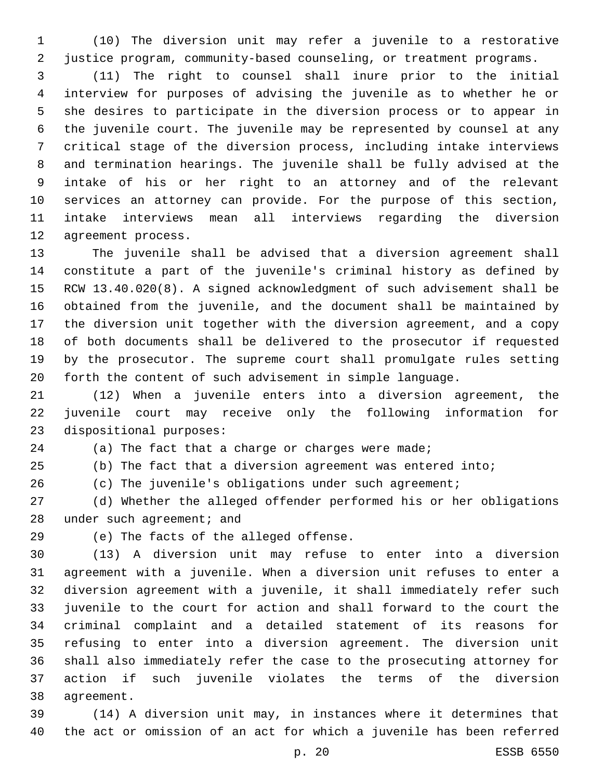(10) The diversion unit may refer a juvenile to a restorative justice program, community-based counseling, or treatment programs.

 (11) The right to counsel shall inure prior to the initial interview for purposes of advising the juvenile as to whether he or she desires to participate in the diversion process or to appear in the juvenile court. The juvenile may be represented by counsel at any critical stage of the diversion process, including intake interviews and termination hearings. The juvenile shall be fully advised at the intake of his or her right to an attorney and of the relevant services an attorney can provide. For the purpose of this section, intake interviews mean all interviews regarding the diversion 12 agreement process.

 The juvenile shall be advised that a diversion agreement shall constitute a part of the juvenile's criminal history as defined by RCW 13.40.020(8). A signed acknowledgment of such advisement shall be obtained from the juvenile, and the document shall be maintained by the diversion unit together with the diversion agreement, and a copy of both documents shall be delivered to the prosecutor if requested by the prosecutor. The supreme court shall promulgate rules setting forth the content of such advisement in simple language.

 (12) When a juvenile enters into a diversion agreement, the juvenile court may receive only the following information for 23 dispositional purposes:

24 (a) The fact that a charge or charges were made;

(b) The fact that a diversion agreement was entered into;

(c) The juvenile's obligations under such agreement;

 (d) Whether the alleged offender performed his or her obligations 28 under such agreement; and

29 (e) The facts of the alleged offense.

 (13) A diversion unit may refuse to enter into a diversion agreement with a juvenile. When a diversion unit refuses to enter a diversion agreement with a juvenile, it shall immediately refer such juvenile to the court for action and shall forward to the court the criminal complaint and a detailed statement of its reasons for refusing to enter into a diversion agreement. The diversion unit shall also immediately refer the case to the prosecuting attorney for action if such juvenile violates the terms of the diversion 38 agreement.

 (14) A diversion unit may, in instances where it determines that the act or omission of an act for which a juvenile has been referred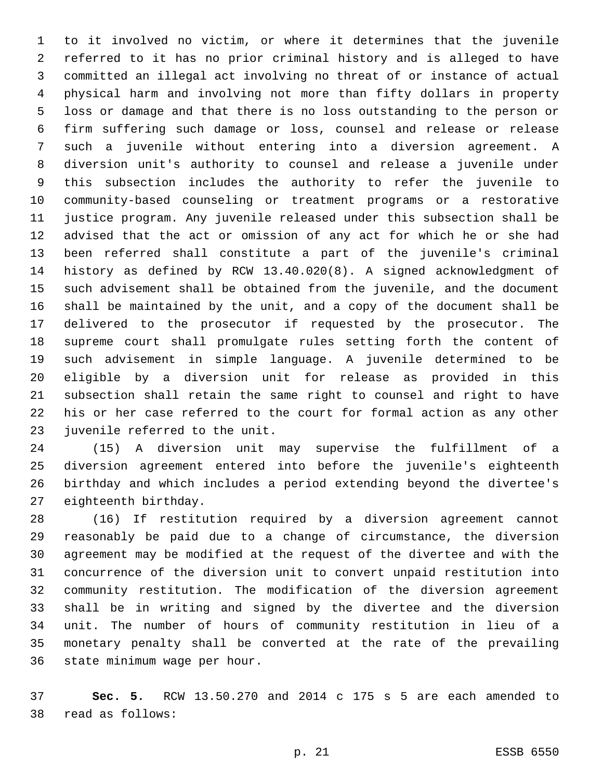to it involved no victim, or where it determines that the juvenile referred to it has no prior criminal history and is alleged to have committed an illegal act involving no threat of or instance of actual physical harm and involving not more than fifty dollars in property loss or damage and that there is no loss outstanding to the person or firm suffering such damage or loss, counsel and release or release such a juvenile without entering into a diversion agreement. A diversion unit's authority to counsel and release a juvenile under this subsection includes the authority to refer the juvenile to community-based counseling or treatment programs or a restorative justice program. Any juvenile released under this subsection shall be advised that the act or omission of any act for which he or she had been referred shall constitute a part of the juvenile's criminal history as defined by RCW 13.40.020(8). A signed acknowledgment of such advisement shall be obtained from the juvenile, and the document shall be maintained by the unit, and a copy of the document shall be delivered to the prosecutor if requested by the prosecutor. The supreme court shall promulgate rules setting forth the content of such advisement in simple language. A juvenile determined to be eligible by a diversion unit for release as provided in this subsection shall retain the same right to counsel and right to have his or her case referred to the court for formal action as any other 23 juvenile referred to the unit.

 (15) A diversion unit may supervise the fulfillment of a diversion agreement entered into before the juvenile's eighteenth birthday and which includes a period extending beyond the divertee's 27 eighteenth birthday.

 (16) If restitution required by a diversion agreement cannot reasonably be paid due to a change of circumstance, the diversion agreement may be modified at the request of the divertee and with the concurrence of the diversion unit to convert unpaid restitution into community restitution. The modification of the diversion agreement shall be in writing and signed by the divertee and the diversion unit. The number of hours of community restitution in lieu of a monetary penalty shall be converted at the rate of the prevailing 36 state minimum wage per hour.

 **Sec. 5.** RCW 13.50.270 and 2014 c 175 s 5 are each amended to read as follows:38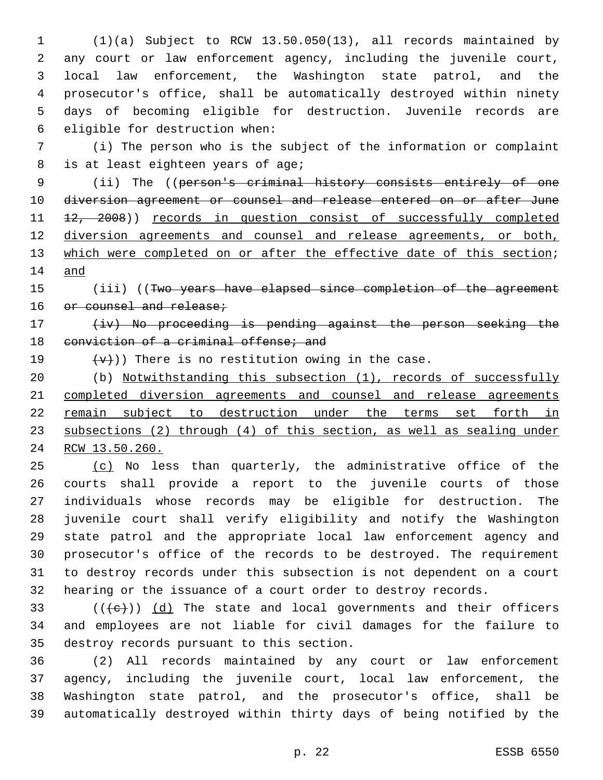(1)(a) Subject to RCW 13.50.050(13), all records maintained by any court or law enforcement agency, including the juvenile court, local law enforcement, the Washington state patrol, and the prosecutor's office, shall be automatically destroyed within ninety days of becoming eligible for destruction. Juvenile records are 6 eligible for destruction when:

 (i) The person who is the subject of the information or complaint 8 is at least eighteen years of age;

 (ii) The ((person's criminal history consists entirely of one 10 diversion agreement or counsel and release entered on or after June 11 <del>12, 2008</del>)) records in question consist of successfully completed diversion agreements and counsel and release agreements, or both, 13 which were completed on or after the effective date of this section; and

15 (iii) ((Two years have elapsed since completion of the agreement 16 or counsel and release;

17 (iv) No proceeding is pending against the person seeking the 18 conviction of a criminal offense; and

19  $(v+v)$ ) There is no restitution owing in the case.

 (b) Notwithstanding this subsection (1), records of successfully completed diversion agreements and counsel and release agreements remain subject to destruction under the terms set forth in subsections (2) through (4) of this section, as well as sealing under RCW 13.50.260.

25 (c) No less than quarterly, the administrative office of the courts shall provide a report to the juvenile courts of those individuals whose records may be eligible for destruction. The juvenile court shall verify eligibility and notify the Washington state patrol and the appropriate local law enforcement agency and prosecutor's office of the records to be destroyed. The requirement to destroy records under this subsection is not dependent on a court hearing or the issuance of a court order to destroy records.

33  $((+e))$  (d) The state and local governments and their officers and employees are not liable for civil damages for the failure to 35 destroy records pursuant to this section.

 (2) All records maintained by any court or law enforcement agency, including the juvenile court, local law enforcement, the Washington state patrol, and the prosecutor's office, shall be automatically destroyed within thirty days of being notified by the